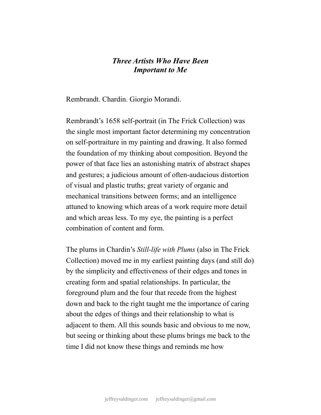## *Three Artists Who Have Been Important to Me*

Rembrandt. Chardin. Giorgio Morandi.

Rembrandt's 1658 self-portrait (in The Frick Collection) was the single most important factor determining my concentration on self-portraiture in my painting and drawing. It also formed the foundation of my thinking about composition. Beyond the power of that face lies an astonishing matrix of abstract shapes and gestures; a judicious amount of often-audacious distortion of visual and plastic truths; great variety of organic and mechanical transitions between forms; and an intelligence attuned to knowing which areas of a work require more detail and which areas less. To my eye, the painting is a perfect combination of content and form.

The plums in Chardin's *Still-life with Plums* (also in The Frick Collection) moved me in my earliest painting days (and still do) by the simplicity and effectiveness of their edges and tones in creating form and spatial relationships. In particular, the foreground plum and the four that recede from the highest down and back to the right taught me the importance of caring about the edges of things and their relationship to what is adjacent to them. All this sounds basic and obvious to me now, but seeing or thinking about these plums brings me back to the time I did not know these things and reminds me how